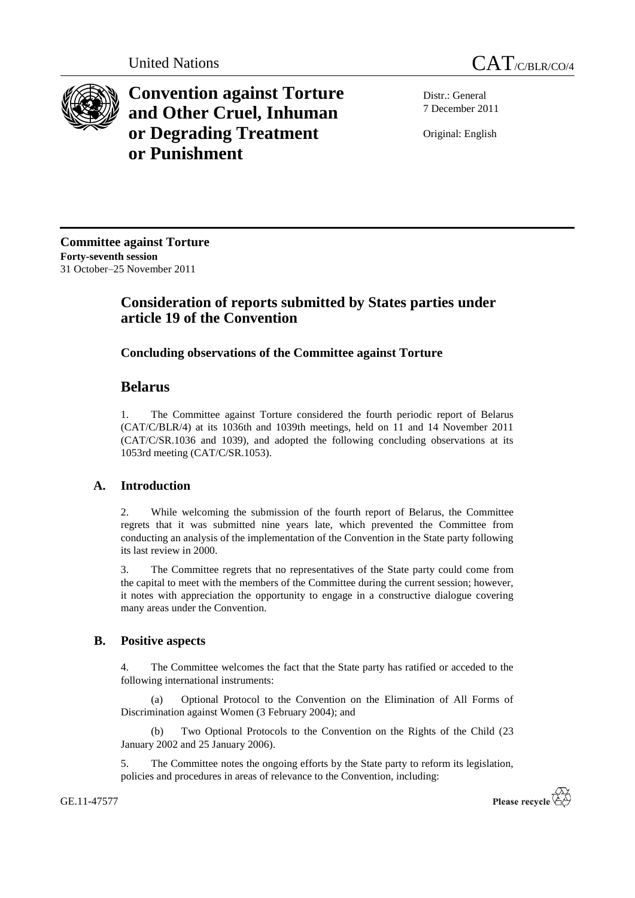



**Convention against Torture and Other Cruel, Inhuman or Degrading Treatment or Punishment**

Distr.: General 7 December 2011

Original: English

**Committee against Torture Forty-seventh session** 31 October–25 November 2011

# **Consideration of reports submitted by States parties under article 19 of the Convention**

## **Concluding observations of the Committee against Torture**

## **Belarus**

1. The Committee against Torture considered the fourth periodic report of Belarus (CAT/C/BLR/4) at its 1036th and 1039th meetings, held on 11 and 14 November 2011 (CAT/C/SR.1036 and 1039), and adopted the following concluding observations at its 1053rd meeting (CAT/C/SR.1053).

## **A. Introduction**

2. While welcoming the submission of the fourth report of Belarus, the Committee regrets that it was submitted nine years late, which prevented the Committee from conducting an analysis of the implementation of the Convention in the State party following its last review in 2000.

3. The Committee regrets that no representatives of the State party could come from the capital to meet with the members of the Committee during the current session; however, it notes with appreciation the opportunity to engage in a constructive dialogue covering many areas under the Convention.

## **B. Positive aspects**

4. The Committee welcomes the fact that the State party has ratified or acceded to the following international instruments:

(a) Optional Protocol to the Convention on the Elimination of All Forms of Discrimination against Women (3 February 2004); and

(b) Two Optional Protocols to the Convention on the Rights of the Child (23 January 2002 and 25 January 2006).

5. The Committee notes the ongoing efforts by the State party to reform its legislation, policies and procedures in areas of relevance to the Convention, including: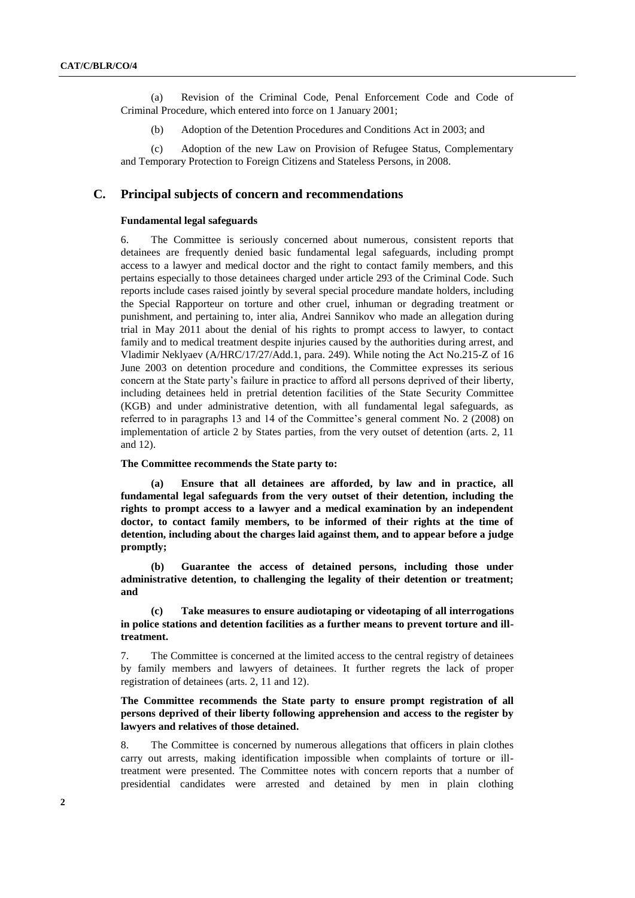(a) Revision of the Criminal Code, Penal Enforcement Code and Code of Criminal Procedure, which entered into force on 1 January 2001;

(b) Adoption of the Detention Procedures and Conditions Act in 2003; and

(c) Adoption of the new Law on Provision of Refugee Status, Complementary and Temporary Protection to Foreign Citizens and Stateless Persons, in 2008.

## **C. Principal subjects of concern and recommendations**

#### **Fundamental legal safeguards**

6. The Committee is seriously concerned about numerous, consistent reports that detainees are frequently denied basic fundamental legal safeguards, including prompt access to a lawyer and medical doctor and the right to contact family members, and this pertains especially to those detainees charged under article 293 of the Criminal Code. Such reports include cases raised jointly by several special procedure mandate holders, including the Special Rapporteur on torture and other cruel, inhuman or degrading treatment or punishment, and pertaining to, inter alia, Andrei Sannikov who made an allegation during trial in May 2011 about the denial of his rights to prompt access to lawyer, to contact family and to medical treatment despite injuries caused by the authorities during arrest, and Vladimir Neklyaev (A/HRC/17/27/Add.1, para. 249). While noting the Act No.215-Z of 16 June 2003 on detention procedure and conditions, the Committee expresses its serious concern at the State party's failure in practice to afford all persons deprived of their liberty, including detainees held in pretrial detention facilities of the State Security Committee (KGB) and under administrative detention, with all fundamental legal safeguards, as referred to in paragraphs 13 and 14 of the Committee's general comment No. 2 (2008) on implementation of article 2 by States parties, from the very outset of detention (arts. 2, 11 and 12).

## **The Committee recommends the State party to:**

**(a) Ensure that all detainees are afforded, by law and in practice, all fundamental legal safeguards from the very outset of their detention, including the rights to prompt access to a lawyer and a medical examination by an independent doctor, to contact family members, to be informed of their rights at the time of detention, including about the charges laid against them, and to appear before a judge promptly;**

**(b) Guarantee the access of detained persons, including those under administrative detention, to challenging the legality of their detention or treatment; and**

**(c) Take measures to ensure audiotaping or videotaping of all interrogations in police stations and detention facilities as a further means to prevent torture and illtreatment.**

7. The Committee is concerned at the limited access to the central registry of detainees by family members and lawyers of detainees. It further regrets the lack of proper registration of detainees (arts. 2, 11 and 12).

## **The Committee recommends the State party to ensure prompt registration of all persons deprived of their liberty following apprehension and access to the register by lawyers and relatives of those detained.**

8. The Committee is concerned by numerous allegations that officers in plain clothes carry out arrests, making identification impossible when complaints of torture or illtreatment were presented. The Committee notes with concern reports that a number of presidential candidates were arrested and detained by men in plain clothing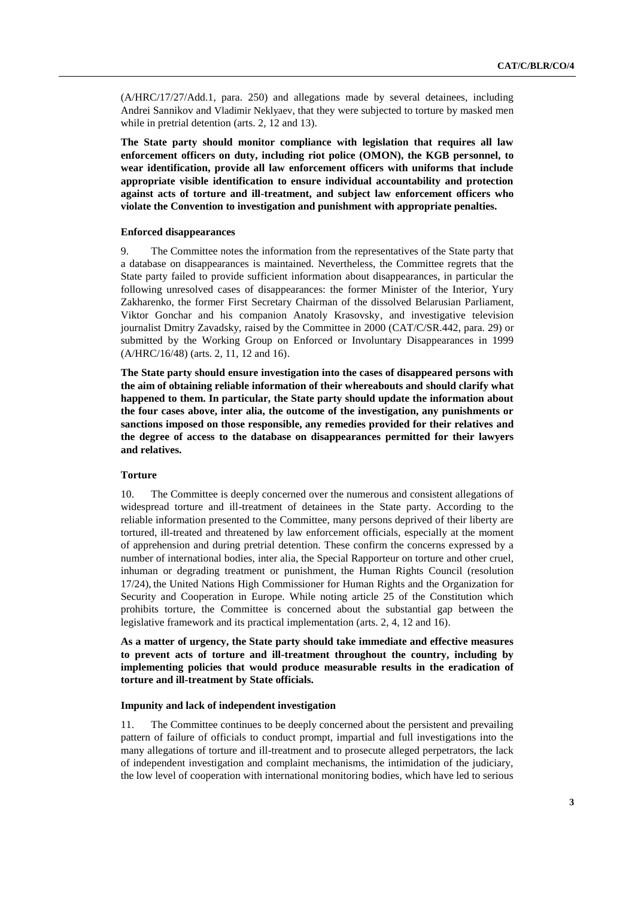(A/HRC/17/27/Add.1, para. 250) and allegations made by several detainees, including Andrei Sannikov and Vladimir Neklyaev, that they were subjected to torture by masked men while in pretrial detention (arts. 2, 12 and 13).

**The State party should monitor compliance with legislation that requires all law enforcement officers on duty, including riot police (OMON), the KGB personnel, to wear identification, provide all law enforcement officers with uniforms that include appropriate visible identification to ensure individual accountability and protection against acts of torture and ill-treatment, and subject law enforcement officers who violate the Convention to investigation and punishment with appropriate penalties.**

#### **Enforced disappearances**

9. The Committee notes the information from the representatives of the State party that a database on disappearances is maintained. Nevertheless, the Committee regrets that the State party failed to provide sufficient information about disappearances, in particular the following unresolved cases of disappearances: the former Minister of the Interior, Yury Zakharenko, the former First Secretary Chairman of the dissolved Belarusian Parliament, Viktor Gonchar and his companion Anatoly Krasovsky, and investigative television journalist Dmitry Zavadsky, raised by the Committee in 2000 (CAT/C/SR.442, para. 29) or submitted by the Working Group on Enforced or Involuntary Disappearances in 1999 (A/HRC/16/48) (arts. 2, 11, 12 and 16).

**The State party should ensure investigation into the cases of disappeared persons with the aim of obtaining reliable information of their whereabouts and should clarify what happened to them. In particular, the State party should update the information about the four cases above, inter alia, the outcome of the investigation, any punishments or sanctions imposed on those responsible, any remedies provided for their relatives and the degree of access to the database on disappearances permitted for their lawyers and relatives.**

#### **Torture**

10. The Committee is deeply concerned over the numerous and consistent allegations of widespread torture and ill-treatment of detainees in the State party. According to the reliable information presented to the Committee, many persons deprived of their liberty are tortured, ill-treated and threatened by law enforcement officials, especially at the moment of apprehension and during pretrial detention. These confirm the concerns expressed by a number of international bodies, inter alia, the Special Rapporteur on torture and other cruel, inhuman or degrading treatment or punishment, the Human Rights Council (resolution 17/24), the United Nations High Commissioner for Human Rights and the Organization for Security and Cooperation in Europe. While noting article 25 of the Constitution which prohibits torture, the Committee is concerned about the substantial gap between the legislative framework and its practical implementation (arts. 2, 4, 12 and 16).

**As a matter of urgency, the State party should take immediate and effective measures to prevent acts of torture and ill-treatment throughout the country, including by implementing policies that would produce measurable results in the eradication of torture and ill-treatment by State officials.**

#### **Impunity and lack of independent investigation**

11. The Committee continues to be deeply concerned about the persistent and prevailing pattern of failure of officials to conduct prompt, impartial and full investigations into the many allegations of torture and ill-treatment and to prosecute alleged perpetrators, the lack of independent investigation and complaint mechanisms, the intimidation of the judiciary, the low level of cooperation with international monitoring bodies, which have led to serious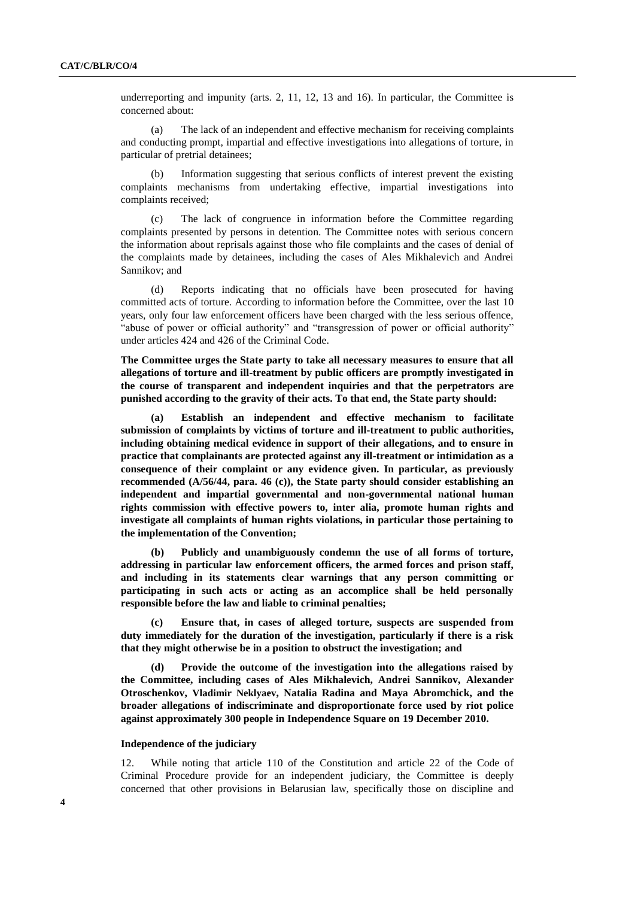underreporting and impunity (arts. 2, 11, 12, 13 and 16). In particular, the Committee is concerned about:

(a) The lack of an independent and effective mechanism for receiving complaints and conducting prompt, impartial and effective investigations into allegations of torture, in particular of pretrial detainees;

(b) Information suggesting that serious conflicts of interest prevent the existing complaints mechanisms from undertaking effective, impartial investigations into complaints received;

(c) The lack of congruence in information before the Committee regarding complaints presented by persons in detention. The Committee notes with serious concern the information about reprisals against those who file complaints and the cases of denial of the complaints made by detainees, including the cases of Ales Mikhalevich and Andrei Sannikov; and

(d) Reports indicating that no officials have been prosecuted for having committed acts of torture. According to information before the Committee, over the last 10 years, only four law enforcement officers have been charged with the less serious offence, "abuse of power or official authority" and "transgression of power or official authority" under articles 424 and 426 of the Criminal Code.

**The Committee urges the State party to take all necessary measures to ensure that all allegations of torture and ill-treatment by public officers are promptly investigated in the course of transparent and independent inquiries and that the perpetrators are punished according to the gravity of their acts. To that end, the State party should:**

**(a) Establish an independent and effective mechanism to facilitate submission of complaints by victims of torture and ill-treatment to public authorities, including obtaining medical evidence in support of their allegations, and to ensure in practice that complainants are protected against any ill-treatment or intimidation as a consequence of their complaint or any evidence given. In particular, as previously recommended (A/56/44, para. 46 (c)), the State party should consider establishing an independent and impartial governmental and non-governmental national human rights commission with effective powers to, inter alia, promote human rights and investigate all complaints of human rights violations, in particular those pertaining to the implementation of the Convention;**

**(b) Publicly and unambiguously condemn the use of all forms of torture, addressing in particular law enforcement officers, the armed forces and prison staff, and including in its statements clear warnings that any person committing or participating in such acts or acting as an accomplice shall be held personally responsible before the law and liable to criminal penalties;** 

**(c) Ensure that, in cases of alleged torture, suspects are suspended from duty immediately for the duration of the investigation, particularly if there is a risk that they might otherwise be in a position to obstruct the investigation; and**

**(d) Provide the outcome of the investigation into the allegations raised by the Committee, including cases of Ales Mikhalevich, Andrei Sannikov, Alexander Otroschenkov, Vladimir Neklyaev, Natalia Radina and Maya Abromchick, and the broader allegations of indiscriminate and disproportionate force used by riot police against approximately 300 people in Independence Square on 19 December 2010.**

#### **Independence of the judiciary**

12. While noting that article 110 of the Constitution and article 22 of the Code of Criminal Procedure provide for an independent judiciary, the Committee is deeply concerned that other provisions in Belarusian law, specifically those on discipline and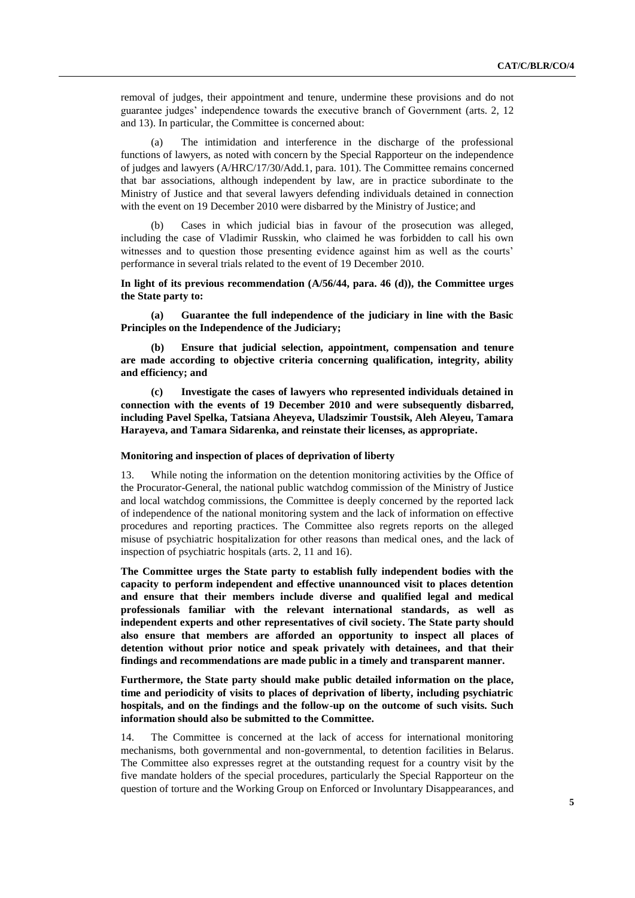removal of judges, their appointment and tenure, undermine these provisions and do not guarantee judges' independence towards the executive branch of Government (arts. 2, 12 and 13). In particular, the Committee is concerned about:

(a) The intimidation and interference in the discharge of the professional functions of lawyers, as noted with concern by the Special Rapporteur on the independence of judges and lawyers (A/HRC/17/30/Add.1, para. 101). The Committee remains concerned that bar associations, although independent by law, are in practice subordinate to the Ministry of Justice and that several lawyers defending individuals detained in connection with the event on 19 December 2010 were disbarred by the Ministry of Justice; and

(b) Cases in which judicial bias in favour of the prosecution was alleged, including the case of Vladimir Russkin, who claimed he was forbidden to call his own witnesses and to question those presenting evidence against him as well as the courts' performance in several trials related to the event of 19 December 2010.

**In light of its previous recommendation (A/56/44, para. 46 (d)), the Committee urges the State party to:**

**(a) Guarantee the full independence of the judiciary in line with the Basic Principles on the Independence of the Judiciary;**

**(b) Ensure that judicial selection, appointment, compensation and tenure are made according to objective criteria concerning qualification, integrity, ability and efficiency; and**

**(c) Investigate the cases of lawyers who represented individuals detained in connection with the events of 19 December 2010 and were subsequently disbarred, including Pavel Spelka, Tatsiana Aheyeva, Uladszimir Toustsik, Aleh Aleyeu, Tamara Harayeva, and Tamara Sidarenka, and reinstate their licenses, as appropriate.**

#### **Monitoring and inspection of places of deprivation of liberty**

13. While noting the information on the detention monitoring activities by the Office of the Procurator-General, the national public watchdog commission of the Ministry of Justice and local watchdog commissions, the Committee is deeply concerned by the reported lack of independence of the national monitoring system and the lack of information on effective procedures and reporting practices. The Committee also regrets reports on the alleged misuse of psychiatric hospitalization for other reasons than medical ones, and the lack of inspection of psychiatric hospitals (arts. 2, 11 and 16).

**The Committee urges the State party to establish fully independent bodies with the capacity to perform independent and effective unannounced visit to places detention and ensure that their members include diverse and qualified legal and medical professionals familiar with the relevant international standards, as well as independent experts and other representatives of civil society. The State party should also ensure that members are afforded an opportunity to inspect all places of detention without prior notice and speak privately with detainees, and that their findings and recommendations are made public in a timely and transparent manner.** 

**Furthermore, the State party should make public detailed information on the place, time and periodicity of visits to places of deprivation of liberty, including psychiatric hospitals, and on the findings and the follow-up on the outcome of such visits. Such information should also be submitted to the Committee.**

14. The Committee is concerned at the lack of access for international monitoring mechanisms, both governmental and non-governmental, to detention facilities in Belarus. The Committee also expresses regret at the outstanding request for a country visit by the five mandate holders of the special procedures, particularly the Special Rapporteur on the question of torture and the Working Group on Enforced or Involuntary Disappearances, and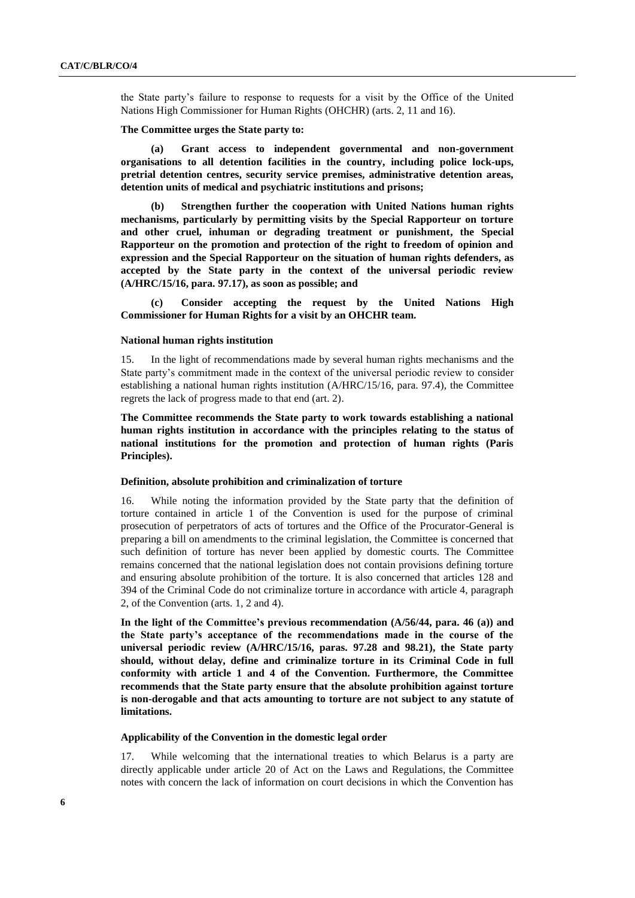the State party's failure to response to requests for a visit by the Office of the United Nations High Commissioner for Human Rights (OHCHR) (arts. 2, 11 and 16).

#### **The Committee urges the State party to:**

**(a) Grant access to independent governmental and non-government organisations to all detention facilities in the country, including police lock-ups, pretrial detention centres, security service premises, administrative detention areas, detention units of medical and psychiatric institutions and prisons;**

**(b) Strengthen further the cooperation with United Nations human rights mechanisms, particularly by permitting visits by the Special Rapporteur on torture and other cruel, inhuman or degrading treatment or punishment, the Special Rapporteur on the promotion and protection of the right to freedom of opinion and expression and the Special Rapporteur on the situation of human rights defenders, as accepted by the State party in the context of the universal periodic review (A/HRC/15/16, para. 97.17), as soon as possible; and**

**(c) Consider accepting the request by the United Nations High Commissioner for Human Rights for a visit by an OHCHR team.**

#### **National human rights institution**

15. In the light of recommendations made by several human rights mechanisms and the State party's commitment made in the context of the universal periodic review to consider establishing a national human rights institution (A/HRC/15/16, para. 97.4), the Committee regrets the lack of progress made to that end (art. 2).

**The Committee recommends the State party to work towards establishing a national human rights institution in accordance with the principles relating to the status of national institutions for the promotion and protection of human rights (Paris Principles).** 

#### **Definition, absolute prohibition and criminalization of torture**

16. While noting the information provided by the State party that the definition of torture contained in article 1 of the Convention is used for the purpose of criminal prosecution of perpetrators of acts of tortures and the Office of the Procurator-General is preparing a bill on amendments to the criminal legislation, the Committee is concerned that such definition of torture has never been applied by domestic courts. The Committee remains concerned that the national legislation does not contain provisions defining torture and ensuring absolute prohibition of the torture. It is also concerned that articles 128 and 394 of the Criminal Code do not criminalize torture in accordance with article 4, paragraph 2, of the Convention (arts. 1, 2 and 4).

**In the light of the Committee's previous recommendation (A/56/44, para. 46 (a)) and the State party's acceptance of the recommendations made in the course of the universal periodic review (A/HRC/15/16, paras. 97.28 and 98.21), the State party should, without delay, define and criminalize torture in its Criminal Code in full conformity with article 1 and 4 of the Convention. Furthermore, the Committee recommends that the State party ensure that the absolute prohibition against torture is non-derogable and that acts amounting to torture are not subject to any statute of limitations.**

#### **Applicability of the Convention in the domestic legal order**

17. While welcoming that the international treaties to which Belarus is a party are directly applicable under article 20 of Act on the Laws and Regulations, the Committee notes with concern the lack of information on court decisions in which the Convention has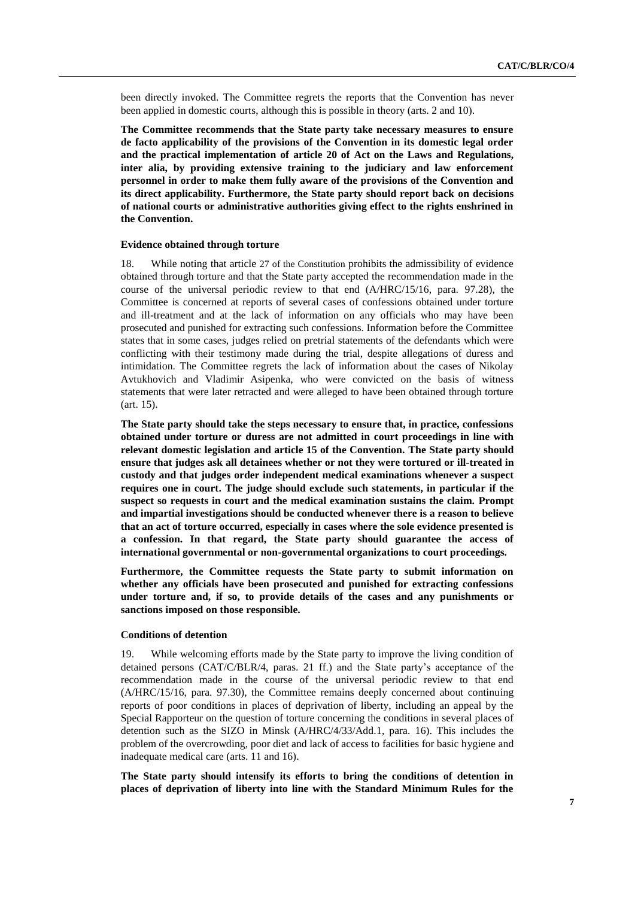been directly invoked. The Committee regrets the reports that the Convention has never been applied in domestic courts, although this is possible in theory (arts. 2 and 10).

**The Committee recommends that the State party take necessary measures to ensure de facto applicability of the provisions of the Convention in its domestic legal order and the practical implementation of article 20 of Act on the Laws and Regulations, inter alia, by providing extensive training to the judiciary and law enforcement personnel in order to make them fully aware of the provisions of the Convention and its direct applicability. Furthermore, the State party should report back on decisions of national courts or administrative authorities giving effect to the rights enshrined in the Convention.**

#### **Evidence obtained through torture**

18. While noting that article 27 of the Constitution prohibits the admissibility of evidence obtained through torture and that the State party accepted the recommendation made in the course of the universal periodic review to that end (A/HRC/15/16, para. 97.28), the Committee is concerned at reports of several cases of confessions obtained under torture and ill-treatment and at the lack of information on any officials who may have been prosecuted and punished for extracting such confessions. Information before the Committee states that in some cases, judges relied on pretrial statements of the defendants which were conflicting with their testimony made during the trial, despite allegations of duress and intimidation. The Committee regrets the lack of information about the cases of Nikolay Avtukhovich and Vladimir Asipenka, who were convicted on the basis of witness statements that were later retracted and were alleged to have been obtained through torture (art. 15).

**The State party should take the steps necessary to ensure that, in practice, confessions obtained under torture or duress are not admitted in court proceedings in line with relevant domestic legislation and article 15 of the Convention. The State party should ensure that judges ask all detainees whether or not they were tortured or ill-treated in custody and that judges order independent medical examinations whenever a suspect requires one in court. The judge should exclude such statements, in particular if the suspect so requests in court and the medical examination sustains the claim. Prompt and impartial investigations should be conducted whenever there is a reason to believe that an act of torture occurred, especially in cases where the sole evidence presented is a confession. In that regard, the State party should guarantee the access of international governmental or non-governmental organizations to court proceedings.** 

**Furthermore, the Committee requests the State party to submit information on whether any officials have been prosecuted and punished for extracting confessions under torture and, if so, to provide details of the cases and any punishments or sanctions imposed on those responsible.** 

## **Conditions of detention**

19. While welcoming efforts made by the State party to improve the living condition of detained persons (CAT/C/BLR/4, paras. 21 ff.) and the State party's acceptance of the recommendation made in the course of the universal periodic review to that end (A/HRC/15/16, para. 97.30), the Committee remains deeply concerned about continuing reports of poor conditions in places of deprivation of liberty, including an appeal by the Special Rapporteur on the question of torture concerning the conditions in several places of detention such as the SIZO in Minsk (A/HRC/4/33/Add.1, para. 16). This includes the problem of the overcrowding, poor diet and lack of access to facilities for basic hygiene and inadequate medical care (arts. 11 and 16).

**The State party should intensify its efforts to bring the conditions of detention in places of deprivation of liberty into line with the Standard Minimum Rules for the**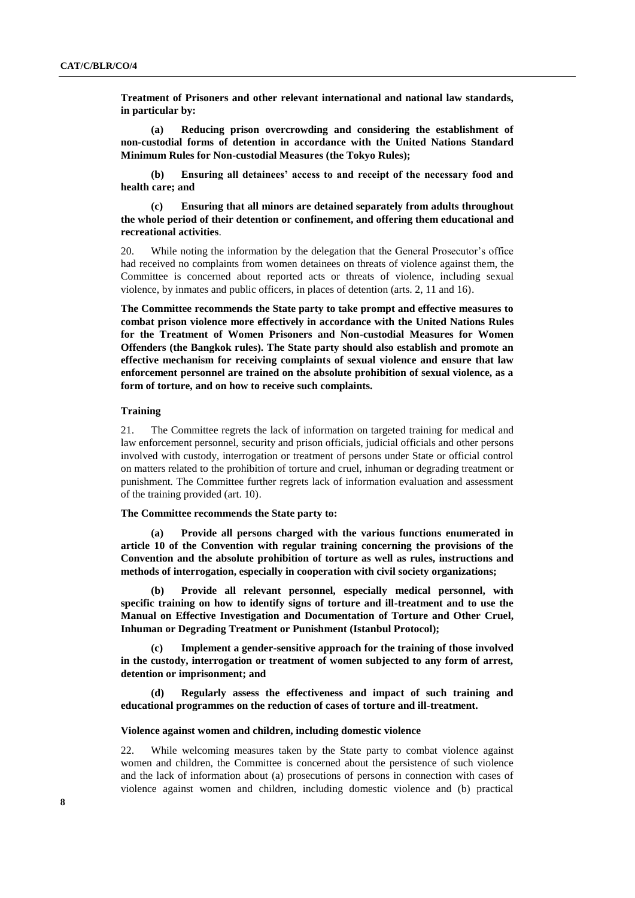**Treatment of Prisoners and other relevant international and national law standards, in particular by:**

**(a) Reducing prison overcrowding and considering the establishment of non-custodial forms of detention in accordance with the United Nations Standard Minimum Rules for Non-custodial Measures (the Tokyo Rules);**

**(b) Ensuring all detainees' access to and receipt of the necessary food and health care; and** 

**(c) Ensuring that all minors are detained separately from adults throughout the whole period of their detention or confinement, and offering them educational and recreational activities**.

20. While noting the information by the delegation that the General Prosecutor's office had received no complaints from women detainees on threats of violence against them, the Committee is concerned about reported acts or threats of violence, including sexual violence, by inmates and public officers, in places of detention (arts. 2, 11 and 16).

**The Committee recommends the State party to take prompt and effective measures to combat prison violence more effectively in accordance with the United Nations Rules for the Treatment of Women Prisoners and Non-custodial Measures for Women Offenders (the Bangkok rules). The State party should also establish and promote an effective mechanism for receiving complaints of sexual violence and ensure that law enforcement personnel are trained on the absolute prohibition of sexual violence, as a form of torture, and on how to receive such complaints.** 

#### **Training**

21. The Committee regrets the lack of information on targeted training for medical and law enforcement personnel, security and prison officials, judicial officials and other persons involved with custody, interrogation or treatment of persons under State or official control on matters related to the prohibition of torture and cruel, inhuman or degrading treatment or punishment. The Committee further regrets lack of information evaluation and assessment of the training provided (art. 10).

#### **The Committee recommends the State party to:**

**(a) Provide all persons charged with the various functions enumerated in article 10 of the Convention with regular training concerning the provisions of the Convention and the absolute prohibition of torture as well as rules, instructions and methods of interrogation, especially in cooperation with civil society organizations;**

**(b) Provide all relevant personnel, especially medical personnel, with specific training on how to identify signs of torture and ill-treatment and to use the Manual on Effective Investigation and Documentation of Torture and Other Cruel, Inhuman or Degrading Treatment or Punishment (Istanbul Protocol);** 

**(c) Implement a gender-sensitive approach for the training of those involved in the custody, interrogation or treatment of women subjected to any form of arrest, detention or imprisonment; and** 

**(d) Regularly assess the effectiveness and impact of such training and educational programmes on the reduction of cases of torture and ill-treatment.**

#### **Violence against women and children, including domestic violence**

22. While welcoming measures taken by the State party to combat violence against women and children, the Committee is concerned about the persistence of such violence and the lack of information about (a) prosecutions of persons in connection with cases of violence against women and children, including domestic violence and (b) practical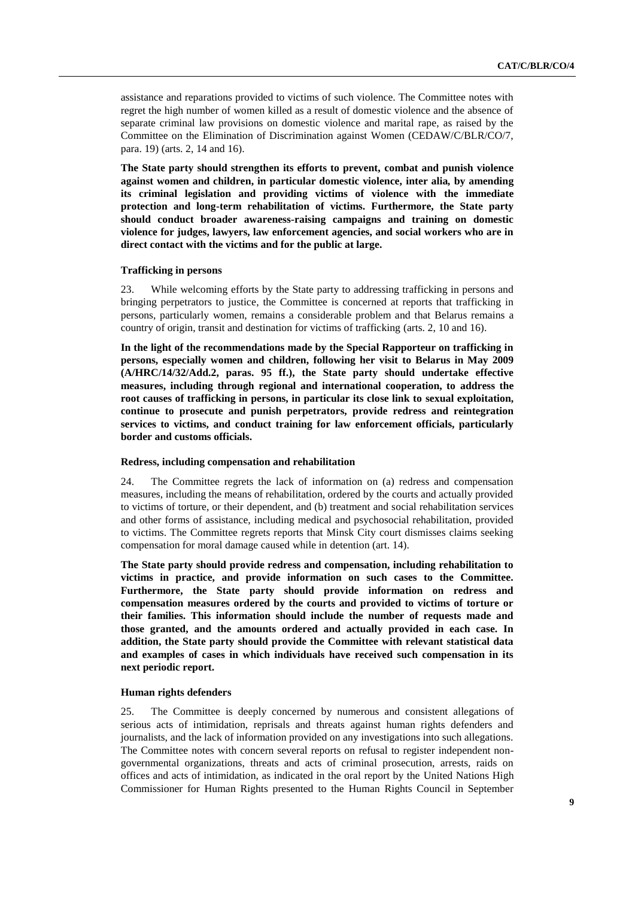assistance and reparations provided to victims of such violence. The Committee notes with regret the high number of women killed as a result of domestic violence and the absence of separate criminal law provisions on domestic violence and marital rape, as raised by the Committee on the Elimination of Discrimination against Women (CEDAW/C/BLR/CO/7, para. 19) (arts. 2, 14 and 16).

**The State party should strengthen its efforts to prevent, combat and punish violence against women and children, in particular domestic violence, inter alia***,* **by amending its criminal legislation and providing victims of violence with the immediate protection and long-term rehabilitation of victims. Furthermore, the State party should conduct broader awareness-raising campaigns and training on domestic violence for judges, lawyers, law enforcement agencies, and social workers who are in direct contact with the victims and for the public at large.**

#### **Trafficking in persons**

23. While welcoming efforts by the State party to addressing trafficking in persons and bringing perpetrators to justice, the Committee is concerned at reports that trafficking in persons, particularly women, remains a considerable problem and that Belarus remains a country of origin, transit and destination for victims of trafficking (arts. 2, 10 and 16).

**In the light of the recommendations made by the Special Rapporteur on trafficking in persons, especially women and children, following her visit to Belarus in May 2009 (A/HRC/14/32/Add.2, paras. 95 ff.), the State party should undertake effective measures, including through regional and international cooperation, to address the root causes of trafficking in persons, in particular its close link to sexual exploitation, continue to prosecute and punish perpetrators, provide redress and reintegration services to victims, and conduct training for law enforcement officials, particularly border and customs officials.**

#### **Redress, including compensation and rehabilitation**

24. The Committee regrets the lack of information on (a) redress and compensation measures, including the means of rehabilitation, ordered by the courts and actually provided to victims of torture, or their dependent, and (b) treatment and social rehabilitation services and other forms of assistance, including medical and psychosocial rehabilitation, provided to victims. The Committee regrets reports that Minsk City court dismisses claims seeking compensation for moral damage caused while in detention (art. 14).

**The State party should provide redress and compensation, including rehabilitation to victims in practice, and provide information on such cases to the Committee. Furthermore, the State party should provide information on redress and compensation measures ordered by the courts and provided to victims of torture or their families. This information should include the number of requests made and those granted, and the amounts ordered and actually provided in each case. In addition, the State party should provide the Committee with relevant statistical data and examples of cases in which individuals have received such compensation in its next periodic report.**

#### **Human rights defenders**

25. The Committee is deeply concerned by numerous and consistent allegations of serious acts of intimidation, reprisals and threats against human rights defenders and journalists, and the lack of information provided on any investigations into such allegations. The Committee notes with concern several reports on refusal to register independent nongovernmental organizations, threats and acts of criminal prosecution, arrests, raids on offices and acts of intimidation, as indicated in the oral report by the United Nations High Commissioner for Human Rights presented to the Human Rights Council in September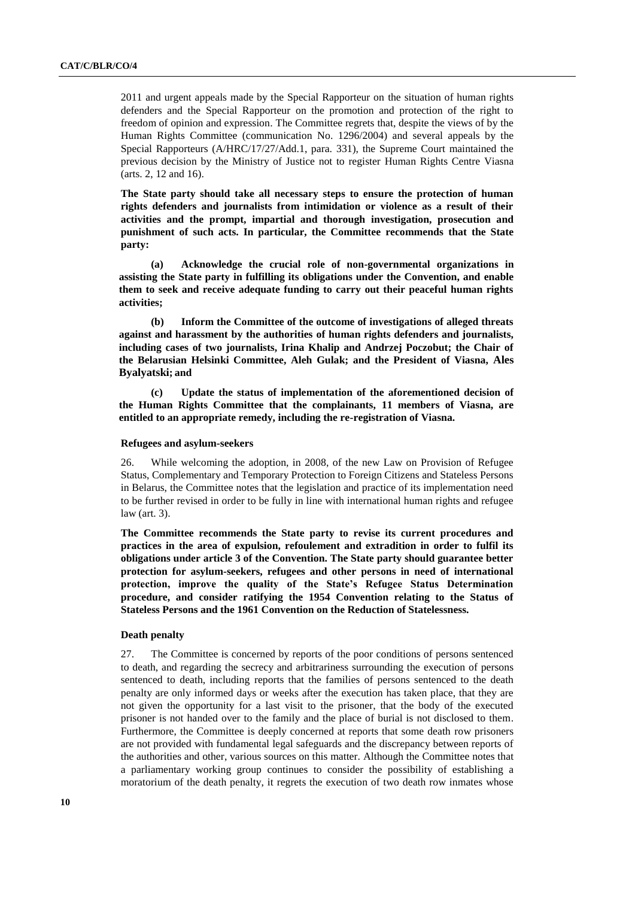2011 and urgent appeals made by the Special Rapporteur on the situation of human rights defenders and the Special Rapporteur on the promotion and protection of the right to freedom of opinion and expression. The Committee regrets that, despite the views of by the Human Rights Committee (communication No. 1296/2004) and several appeals by the Special Rapporteurs (A/HRC/17/27/Add.1, para. 331), the Supreme Court maintained the previous decision by the Ministry of Justice not to register Human Rights Centre Viasna (arts. 2, 12 and 16).

**The State party should take all necessary steps to ensure the protection of human rights defenders and journalists from intimidation or violence as a result of their activities and the prompt, impartial and thorough investigation, prosecution and punishment of such acts. In particular, the Committee recommends that the State party:**

**(a) Acknowledge the crucial role of non-governmental organizations in assisting the State party in fulfilling its obligations under the Convention, and enable them to seek and receive adequate funding to carry out their peaceful human rights activities;**

**(b) Inform the Committee of the outcome of investigations of alleged threats against and harassment by the authorities of human rights defenders and journalists, including cases of two journalists, Irina Khalip and Andrzej Poczobut; the Chair of the Belarusian Helsinki Committee, Aleh Gulak; and the President of Viasna, Ales Byalyatski; and**

**(c) Update the status of implementation of the aforementioned decision of the Human Rights Committee that the complainants, 11 members of Viasna, are entitled to an appropriate remedy, including the re-registration of Viasna.**

#### **Refugees and asylum-seekers**

26. While welcoming the adoption, in 2008, of the new Law on Provision of Refugee Status, Complementary and Temporary Protection to Foreign Citizens and Stateless Persons in Belarus, the Committee notes that the legislation and practice of its implementation need to be further revised in order to be fully in line with international human rights and refugee law (art. 3).

**The Committee recommends the State party to revise its current procedures and practices in the area of expulsion, refoulement and extradition in order to fulfil its obligations under article 3 of the Convention. The State party should guarantee better protection for asylum-seekers, refugees and other persons in need of international protection, improve the quality of the State's Refugee Status Determination procedure, and consider ratifying the 1954 Convention relating to the Status of Stateless Persons and the 1961 Convention on the Reduction of Statelessness.**

## **Death penalty**

27. The Committee is concerned by reports of the poor conditions of persons sentenced to death, and regarding the secrecy and arbitrariness surrounding the execution of persons sentenced to death, including reports that the families of persons sentenced to the death penalty are only informed days or weeks after the execution has taken place, that they are not given the opportunity for a last visit to the prisoner, that the body of the executed prisoner is not handed over to the family and the place of burial is not disclosed to them. Furthermore, the Committee is deeply concerned at reports that some death row prisoners are not provided with fundamental legal safeguards and the discrepancy between reports of the authorities and other, various sources on this matter. Although the Committee notes that a parliamentary working group continues to consider the possibility of establishing a moratorium of the death penalty, it regrets the execution of two death row inmates whose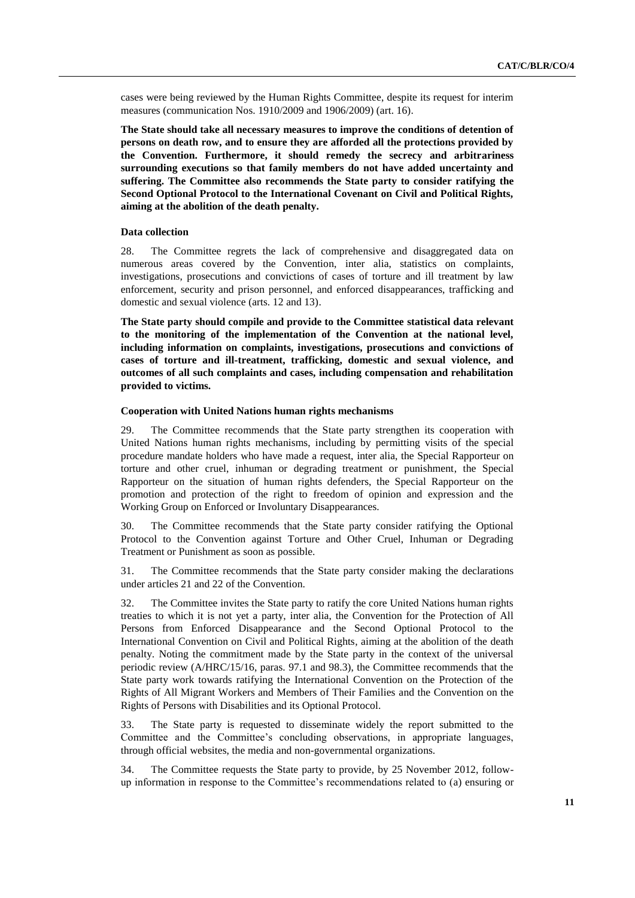cases were being reviewed by the Human Rights Committee, despite its request for interim measures (communication Nos. 1910/2009 and 1906/2009) (art. 16).

**The State should take all necessary measures to improve the conditions of detention of persons on death row, and to ensure they are afforded all the protections provided by the Convention. Furthermore, it should remedy the secrecy and arbitrariness surrounding executions so that family members do not have added uncertainty and suffering. The Committee also recommends the State party to consider ratifying the Second Optional Protocol to the International Covenant on Civil and Political Rights, aiming at the abolition of the death penalty.**

### **Data collection**

28. The Committee regrets the lack of comprehensive and disaggregated data on numerous areas covered by the Convention, inter alia, statistics on complaints, investigations, prosecutions and convictions of cases of torture and ill treatment by law enforcement, security and prison personnel, and enforced disappearances, trafficking and domestic and sexual violence (arts. 12 and 13).

**The State party should compile and provide to the Committee statistical data relevant to the monitoring of the implementation of the Convention at the national level, including information on complaints, investigations, prosecutions and convictions of cases of torture and ill-treatment, trafficking, domestic and sexual violence, and outcomes of all such complaints and cases, including compensation and rehabilitation provided to victims.** 

#### **Cooperation with United Nations human rights mechanisms**

29. The Committee recommends that the State party strengthen its cooperation with United Nations human rights mechanisms, including by permitting visits of the special procedure mandate holders who have made a request, inter alia, the Special Rapporteur on torture and other cruel, inhuman or degrading treatment or punishment, the Special Rapporteur on the situation of human rights defenders, the Special Rapporteur on the promotion and protection of the right to freedom of opinion and expression and the Working Group on Enforced or Involuntary Disappearances.

30. The Committee recommends that the State party consider ratifying the Optional Protocol to the Convention against Torture and Other Cruel, Inhuman or Degrading Treatment or Punishment as soon as possible.

31. The Committee recommends that the State party consider making the declarations under articles 21 and 22 of the Convention.

32. The Committee invites the State party to ratify the core United Nations human rights treaties to which it is not yet a party, inter alia, the Convention for the Protection of All Persons from Enforced Disappearance and the Second Optional Protocol to the International Convention on Civil and Political Rights, aiming at the abolition of the death penalty. Noting the commitment made by the State party in the context of the universal periodic review (A/HRC/15/16, paras. 97.1 and 98.3), the Committee recommends that the State party work towards ratifying the International Convention on the Protection of the Rights of All Migrant Workers and Members of Their Families and the Convention on the Rights of Persons with Disabilities and its Optional Protocol.

33. The State party is requested to disseminate widely the report submitted to the Committee and the Committee's concluding observations, in appropriate languages, through official websites, the media and non-governmental organizations.

34. The Committee requests the State party to provide, by 25 November 2012, followup information in response to the Committee's recommendations related to (a) ensuring or